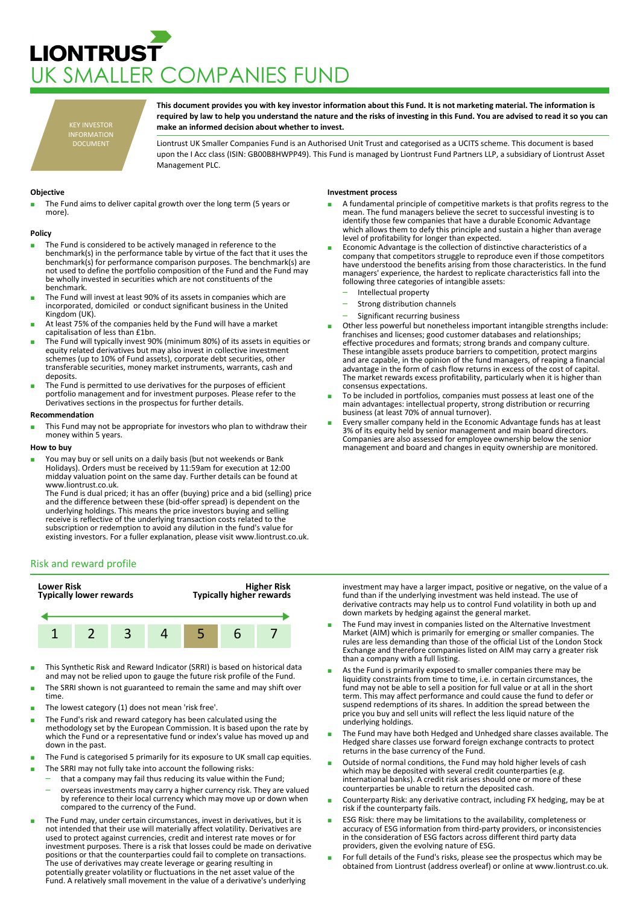# **LIONTRUST** UK SMALLER COMPANIES FUND

KEY INVESTOR INFORMATION DOCUMENT

**This document provides you with key investor information about this Fund. It is not marketing material. The information is required by law to help you understand the nature and the risks of investing in this Fund. You are advised to read it so you can make an informed decision about whether to invest.**

Liontrust UK Smaller Companies Fund is an Authorised Unit Trust and categorised as a UCITS scheme. This document is based upon the I Acc class (ISIN: GB00B8HWPP49). This Fund is managed by Liontrust Fund Partners LLP, a subsidiary of Liontrust Asset Management PLC.

# **Objective**

The Fund aims to deliver capital growth over the long term (5 years or more).

### **Policy**

- The Fund is considered to be actively managed in reference to the benchmark(s) in the performance table by virtue of the fact that it uses the benchmark(s) for performance comparison purposes. The benchmark(s) are not used to define the portfolio composition of the Fund and the Fund may be wholly invested in securities which are not constituents of the benchmark.
- The Fund will invest at least 90% of its assets in companies which are incorporated, domiciled or conduct significant business in the United Kingdom (UK).
- At least 75% of the companies held by the Fund will have a market capitalisation of less than £1bn.
- **The Fund will typically invest 90% (minimum 80%) of its assets in equities or** equity related derivatives but may also invest in collective investment schemes (up to 10% of Fund assets), corporate debt securities, other transferable securities, money market instruments, warrants, cash and deposits.
- The Fund is permitted to use derivatives for the purposes of efficient portfolio management and for investment purposes. Please refer to the Derivatives sections in the prospectus for further details.

### **Recommendation**

This Fund may not be appropriate for investors who plan to withdraw their money within 5 years.

#### **How to buy**

You may buy or sell units on a daily basis (but not weekends or Bank Holidays). Orders must be received by 11:59am for execution at 12:00 midday valuation point on the same day. Further details can be found at www.liontrust.co.uk.

The Fund is dual priced; it has an offer (buying) price and a bid (selling) price and the difference between these (bid-offer spread) is dependent on the underlying holdings. This means the price investors buying and selling receive is reflective of the underlying transaction costs related to the subscription or redemption to avoid any dilution in the fund's value for existing investors. For a fuller explanation, please visit www.liontrust.co.uk.

# Risk and reward profile



- This Synthetic Risk and Reward Indicator (SRRI) is based on historical data and may not be relied upon to gauge the future risk profile of the Fund.
- The SRRI shown is not guaranteed to remain the same and may shift over time.
- The lowest category (1) does not mean 'risk free'.
- The Fund's risk and reward category has been calculated using the methodology set by the European Commission. It is based upon the rate by which the Fund or a representative fund or index's value has moved up and down in the past.
- The Fund is categorised 5 primarily for its exposure to UK small cap equities.
- The SRRI may not fully take into account the following risks:
- that a company may fail thus reducing its value within the Fund;
- overseas investments may carry a higher currency risk. They are valued by reference to their local currency which may move up or down when compared to the currency of the Fund.
- The Fund may, under certain circumstances, invest in derivatives, but it is not intended that their use will materially affect volatility. Derivatives are used to protect against currencies, credit and interest rate moves or for investment purposes. There is a risk that losses could be made on derivative positions or that the counterparties could fail to complete on transactions. The use of derivatives may create leverage or gearing resulting in potentially greater volatility or fluctuations in the net asset value of the Fund. A relatively small movement in the value of a derivative's underlying

# **Investment process**

- A fundamental principle of competitive markets is that profits regress to the mean. The fund managers believe the secret to successful investing is to identify those few companies that have a durable Economic Advantage which allows them to defy this principle and sustain a higher than average level of profitability for longer than expected.
- Economic Advantage is the collection of distinctive characteristics of a company that competitors struggle to reproduce even if those competitors have understood the benefits arising from those characteristics. In the fund managers' experience, the hardest to replicate characteristics fall into the following three categories of intangible assets:
	- Intellectual property
	- Strong distribution channels
	- Significant recurring business
- Other less powerful but nonetheless important intangible strengths include: franchises and licenses; good customer databases and relationships; effective procedures and formats; strong brands and company culture. These intangible assets produce barriers to competition, protect margins and are capable, in the opinion of the fund managers, of reaping a financial advantage in the form of cash flow returns in excess of the cost of capital. The market rewards excess profitability, particularly when it is higher than consensus expectations.
- To be included in portfolios, companies must possess at least one of the main advantages: intellectual property, strong distribution or recurring business (at least 70% of annual turnover).
- Every smaller company held in the Economic Advantage funds has at least 3% of its equity held by senior management and main board directors. Companies are also assessed for employee ownership below the senior management and board and changes in equity ownership are monitored.

investment may have a larger impact, positive or negative, on the value of a fund than if the underlying investment was held instead. The use of derivative contracts may help us to control Fund volatility in both up and down markets by hedging against the general market.

- The Fund may invest in companies listed on the Alternative Investment Market (AIM) which is primarily for emerging or smaller companies. The rules are less demanding than those of the official List of the London Stock Exchange and therefore companies listed on AIM may carry a greater risk than a company with a full listing.
- As the Fund is primarily exposed to smaller companies there may be liquidity constraints from time to time, i.e. in certain circumstances, the fund may not be able to sell a position for full value or at all in the short term. This may affect performance and could cause the fund to defer or suspend redemptions of its shares. In addition the spread between the price you buy and sell units will reflect the less liquid nature of the underlying holdings.
- The Fund may have both Hedged and Unhedged share classes available. The Hedged share classes use forward foreign exchange contracts to protect returns in the base currency of the Fund.
- Outside of normal conditions, the Fund may hold higher levels of cash which may be deposited with several credit counterparties (e.g. international banks). A credit risk arises should one or more of these counterparties be unable to return the deposited cash.
- Counterparty Risk: any derivative contract, including FX hedging, may be at risk if the counterparty fails.
- ESG Risk: there may be limitations to the availability, completeness or accuracy of ESG information from third-party providers, or inconsistencies in the consideration of ESG factors across different third party data providers, given the evolving nature of ESG.
- For full details of the Fund's risks, please see the prospectus which may be obtained from Liontrust (address overleaf) or online at www.liontrust.co.uk.